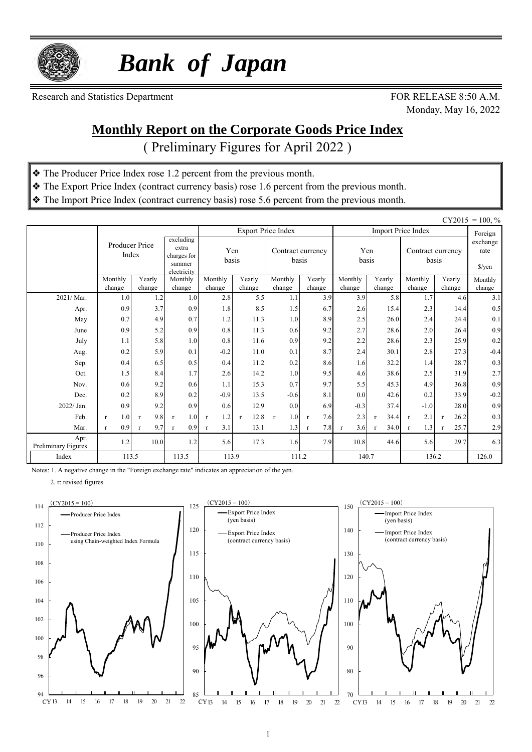

 *Bank of Japan*

Research and Statistics Department FOR RELEASE 8:50 A.M.

Monday, May 16, 2022

#### **Monthly Report on the Corporate Goods Price Index**

( Preliminary Figures for April 2022 )

- ❖ The Producer Price Index rose 1.2 percent from the previous month.
- ❖ The Export Price Index (contract currency basis) rose 1.6 percent from the previous month.
- ❖ The Import Price Index (contract currency basis) rose 5.6 percent from the previous month.

|                             | $CY2015 = 100, \%$  |                         |                                                            |                     |                      |                            |                     |                     |                      |                            |                            |               |
|-----------------------------|---------------------|-------------------------|------------------------------------------------------------|---------------------|----------------------|----------------------------|---------------------|---------------------|----------------------|----------------------------|----------------------------|---------------|
|                             |                     |                         |                                                            |                     |                      | <b>Export Price Index</b>  |                     |                     |                      | <b>Import Price Index</b>  |                            | Foreign       |
|                             |                     | Producer Price<br>Index | excluding<br>extra<br>charges for<br>summer<br>electricity | Yen<br>basis        |                      | Contract currency<br>basis |                     | Yen<br>basis        |                      | Contract currency<br>basis | exchange<br>rate<br>\$/yen |               |
|                             | Monthly             | Yearly                  | Monthly                                                    | Monthly             | Yearly               | Monthly                    | Yearly<br>change    | Monthly             | Yearly               | Monthly                    | Yearly                     | Monthly       |
| 2021/Mar.                   | change<br>1.0       | change<br>1.2           | change<br>1.0                                              | change<br>2.8       | change<br>5.5        | change<br>1.1              | 3.9                 | change<br>3.9       | change<br>5.8        | change<br>1.7              | change<br>4.6              | change<br>3.1 |
| Apr.                        | 0.9                 | 3.7                     | 0.9                                                        | 1.8                 | 8.5                  | 1.5                        | 6.7                 | 2.6                 | 15.4                 | 2.3                        | 14.4                       | 0.5           |
| May                         | 0.7                 | 4.9                     | 0.7                                                        | 1.2                 | 11.3                 | 1.0                        | 8.9                 | 2.5                 | 26.0                 | 2.4                        | 24.4                       | 0.1           |
| June                        | 0.9                 | 5.2                     | 0.9                                                        | 0.8                 | 11.3                 | 0.6                        | 9.2                 | 2.7                 | 28.6                 | 2.0                        | 26.4                       | 0.9           |
| July                        | 1.1                 | 5.8                     | 1.0                                                        | 0.8                 | 11.6                 | 0.9                        | 9.2                 | 2.2                 | 28.6                 | 2.3                        | 25.9                       | $0.2\,$       |
| Aug.                        | 0.2                 | 5.9                     | 0.1                                                        | $-0.2$              | 11.0                 | 0.1                        | 8.7                 | 2.4                 | 30.1                 | 2.8                        | 27.3                       | $-0.4$        |
| Sep.                        | 0.4                 | 6.5                     | 0.5                                                        | 0.4                 | 11.2                 | 0.2                        | 8.6                 | 1.6                 | 32.2                 | 1.4                        | 28.7                       | 0.3           |
| Oct.                        | 1.5                 | 8.4                     | 1.7                                                        | 2.6                 | 14.2                 | 1.0                        | 9.5                 | 4.6                 | 38.6                 | 2.5                        | 31.9                       | 2.7           |
| Nov.                        | 0.6                 | 9.2                     | 0.6                                                        | 1.1                 | 15.3                 | 0.7                        | 9.7                 | 5.5                 | 45.3                 | 4.9                        | 36.8                       | 0.9           |
| Dec.                        | 0.2                 | 8.9                     | 0.2                                                        | $-0.9$              | 13.5                 | $-0.6$                     | 8.1                 | 0.0                 | 42.6                 | 0.2                        | 33.9                       | $-0.2$        |
| 2022/ Jan.                  | 0.9                 | 9.2                     | 0.9                                                        | 0.6                 | 12.9                 | 0.0                        | 6.9                 | $-0.3$              | 37.4                 | $-1.0$                     | 28.0                       | 0.9           |
| Feb.                        | 1.0<br>$\mathbf{r}$ | 9.8<br>$\mathbf{r}$     | 1.0<br>$\mathbf{r}$                                        | 1.2<br>$\mathbf{r}$ | 12.8<br>$\mathbf{r}$ | 1.0<br>$\mathbf{r}$        | 7.6<br>$\mathbf{r}$ | 2.3                 | 34.4<br>$\mathbf{r}$ | 2.1<br>$\mathbf{r}$        | 26.2<br>$\mathbf{r}$       | 0.3           |
| Mar.                        | 0.9<br>$\mathbf{r}$ | 9.7<br>$\mathbf{r}$     | 0.9<br>$\mathbf{r}$                                        | 3.1<br>$\mathbf{r}$ | 13.1                 | 1.3                        | 7.8<br>$\mathbf{r}$ | 3.6<br>$\mathbf{r}$ | 34.0                 | 1.3<br>$\mathbf{r}$        | 25.7<br>$\mathbf{r}$       | 2.9           |
| Apr.<br>Preliminary Figures | 1.2                 | 10.0                    | 1.2                                                        | 5.6                 | 17.3                 | 1.6                        | 7.9                 | 10.8                | 44.6                 | 5.6                        | 29.7                       | 6.3           |
| Index                       | 113.5               |                         | 113.5                                                      | 113.9               |                      | 111.2                      |                     | 140.7               |                      | 136.2                      | 126.0                      |               |

Notes: 1. A negative change in the "Foreign exchange rate" indicates an appreciation of the yen.

2. r: revised figures



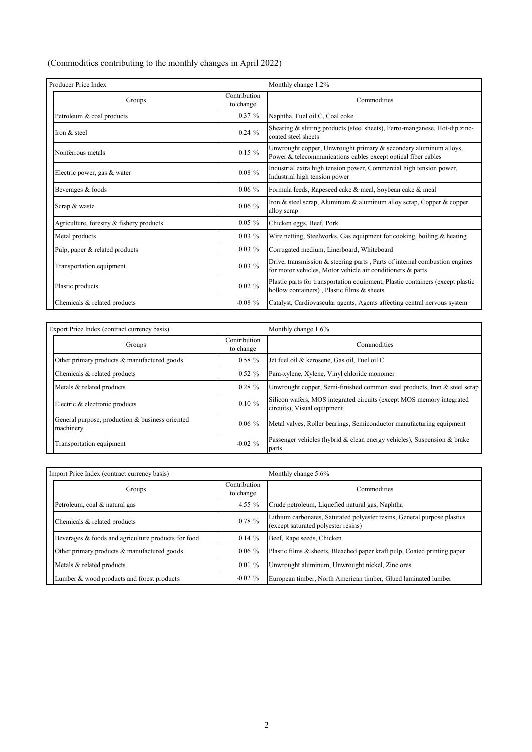(Commodities contributing to the monthly changes in April 2022)

| Producer Price Index                     |                           | Monthly change 1.2%                                                                                                                        |
|------------------------------------------|---------------------------|--------------------------------------------------------------------------------------------------------------------------------------------|
| Groups                                   | Contribution<br>to change | Commodities                                                                                                                                |
| Petroleum & coal products                | $0.37 \%$                 | Naphtha, Fuel oil C, Coal coke                                                                                                             |
| Iron & steel                             | $0.24 \%$                 | Shearing & slitting products (steel sheets), Ferro-manganese, Hot-dip zinc-<br>coated steel sheets                                         |
| Nonferrous metals                        | $0.15 \%$                 | Unwrought copper, Unwrought primary & secondary aluminum alloys,<br>Power & telecommunications cables except optical fiber cables          |
| Electric power, gas & water              | $0.08 \%$                 | Industrial extra high tension power, Commercial high tension power,<br>Industrial high tension power                                       |
| Beverages & foods                        | $0.06\%$                  | Formula feeds, Rapeseed cake & meal, Soybean cake & meal                                                                                   |
| Scrap & waste                            | $0.06\%$                  | Iron & steel scrap, Aluminum & aluminum alloy scrap, Copper & copper<br>alloy scrap                                                        |
| Agriculture, forestry & fishery products | $0.05 \%$                 | Chicken eggs, Beef, Pork                                                                                                                   |
| Metal products                           | $0.03\%$                  | Wire netting, Steelworks, Gas equipment for cooking, boiling $\&$ heating                                                                  |
| Pulp, paper & related products           | $0.03\%$                  | Corrugated medium, Linerboard, Whiteboard                                                                                                  |
| Transportation equipment                 | $0.03\%$                  | Drive, transmission $&$ steering parts, Parts of internal combustion engines<br>for motor vehicles, Motor vehicle air conditioners & parts |
| Plastic products                         | $0.02\%$                  | Plastic parts for transportation equipment, Plastic containers (except plastic<br>hollow containers), Plastic films & sheets               |
| Chemicals & related products             | $-0.08 \%$                | Catalyst, Cardiovascular agents, Agents affecting central nervous system                                                                   |

| Export Price Index (contract currency basis)                 |                           | Monthly change 1.6%                                                                                  |  |  |  |  |
|--------------------------------------------------------------|---------------------------|------------------------------------------------------------------------------------------------------|--|--|--|--|
| Groups                                                       | Contribution<br>to change | Commodities                                                                                          |  |  |  |  |
| Other primary products & manufactured goods                  | $0.58 \%$                 | Jet fuel oil & kerosene, Gas oil, Fuel oil C                                                         |  |  |  |  |
| Chemicals & related products                                 | $0.52 \%$                 | Para-xylene, Xylene, Vinyl chloride monomer                                                          |  |  |  |  |
| Metals & related products                                    | $0.28 \%$                 | Unwrought copper, Semi-finished common steel products, Iron & steel scrap                            |  |  |  |  |
| Electric & electronic products                               | $0.10 \%$                 | Silicon wafers, MOS integrated circuits (except MOS memory integrated<br>circuits), Visual equipment |  |  |  |  |
| General purpose, production & business oriented<br>machinery | $0.06\%$                  | Metal valves, Roller bearings, Semiconductor manufacturing equipment                                 |  |  |  |  |
| Transportation equipment                                     | $-0.02 \%$                | Passenger vehicles (hybrid & clean energy vehicles), Suspension & brake<br>parts                     |  |  |  |  |

| Import Price Index (contract currency basis)        |                           | Monthly change 5.6%                                                                                             |  |  |  |  |  |
|-----------------------------------------------------|---------------------------|-----------------------------------------------------------------------------------------------------------------|--|--|--|--|--|
| Groups                                              | Contribution<br>to change | Commodities                                                                                                     |  |  |  |  |  |
| Petroleum, coal & natural gas                       | 4.55 $%$                  | Crude petroleum, Liquefied natural gas, Naphtha                                                                 |  |  |  |  |  |
| Chemicals & related products                        | $0.78 \%$                 | Lithium carbonates, Saturated polyester resins, General purpose plastics<br>(except saturated polyester resins) |  |  |  |  |  |
| Beverages & foods and agriculture products for food | $0.14 \%$                 | Beef, Rape seeds, Chicken                                                                                       |  |  |  |  |  |
| Other primary products & manufactured goods         | $0.06\%$                  | Plastic films & sheets, Bleached paper kraft pulp, Coated printing paper                                        |  |  |  |  |  |
| Metals & related products                           | $0.01 \%$                 | Unwrought aluminum, Unwrought nickel, Zinc ores                                                                 |  |  |  |  |  |
| Lumber & wood products and forest products          | $-0.02 \%$                | European timber, North American timber, Glued laminated lumber                                                  |  |  |  |  |  |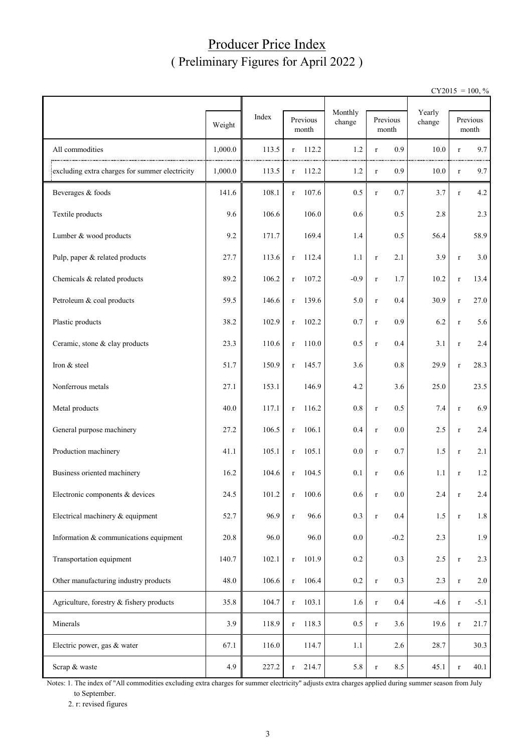### Producer Price Index ( Preliminary Figures for April 2022 )

 $CY2015 = 100, \%$ 

|                                                | Weight  | Index | Previous<br>month     | Monthly<br>change | Previous<br>month   | Yearly<br>change |             | Previous<br>month |
|------------------------------------------------|---------|-------|-----------------------|-------------------|---------------------|------------------|-------------|-------------------|
| All commodities                                | 1,000.0 | 113.5 | 112.2<br>r            | 1.2               | 0.9<br>$\mathbf{r}$ | 10.0             | $\bf r$     | 9.7               |
| excluding extra charges for summer electricity | 1,000.0 | 113.5 | 112.2<br>$\mathbf{r}$ | 1.2               | 0.9<br>$\bf r$      | 10.0             | $\bf r$     | 9.7               |
| Beverages & foods                              | 141.6   | 108.1 | 107.6<br>$\mathbf{r}$ | 0.5               | 0.7<br>$\bf r$      | 3.7              | $\bf r$     | 4.2               |
| Textile products                               | 9.6     | 106.6 | 106.0                 | 0.6               | 0.5                 | 2.8              |             | 2.3               |
| Lumber & wood products                         | 9.2     | 171.7 | 169.4                 | 1.4               | 0.5                 | 56.4             |             | 58.9              |
| Pulp, paper & related products                 | 27.7    | 113.6 | 112.4<br>$\bf r$      | 1.1               | 2.1<br>$\bf r$      | 3.9              | $\bf r$     | 3.0               |
| Chemicals & related products                   | 89.2    | 106.2 | 107.2<br>$\bf r$      | $-0.9$            | 1.7<br>$\bf r$      | 10.2             | $\bf r$     | 13.4              |
| Petroleum & coal products                      | 59.5    | 146.6 | 139.6<br>$\mathbf r$  | 5.0               | 0.4<br>$\bf r$      | 30.9             | $\bf r$     | 27.0              |
| Plastic products                               | 38.2    | 102.9 | 102.2<br>$\bf r$      | 0.7               | 0.9<br>$\bf r$      | 6.2              | $\bf r$     | 5.6               |
| Ceramic, stone & clay products                 | 23.3    | 110.6 | 110.0<br>r            | 0.5               | 0.4<br>$\bf r$      | 3.1              | $\bf r$     | 2.4               |
| Iron & steel                                   | 51.7    | 150.9 | 145.7<br>$\bf r$      | 3.6               | 0.8                 | 29.9             | $\bf r$     | 28.3              |
| Nonferrous metals                              | 27.1    | 153.1 | 146.9                 | 4.2               | 3.6                 | 25.0             |             | 23.5              |
| Metal products                                 | 40.0    | 117.1 | 116.2<br>$\bf r$      | 0.8               | 0.5<br>$\bf r$      | 7.4              | $\bf r$     | 6.9               |
| General purpose machinery                      | 27.2    | 106.5 | 106.1<br>$\mathbf{r}$ | 0.4               | 0.0<br>$\bf r$      | 2.5              | $\bf r$     | $2.4\,$           |
| Production machinery                           | 41.1    | 105.1 | 105.1<br>r            | 0.0               | 0.7<br>$\bf r$      | 1.5              | $\bf r$     | 2.1               |
| Business oriented machinery                    | 16.2    | 104.6 | 104.5<br>$\mathbf{r}$ | 0.1               | 0.6<br>$\bf r$      | 1.1              | $\bf r$     | 1.2               |
| Electronic components & devices                | 24.5    | 101.2 | 100.6<br>r            | 0.6               | $0.0\,$             | 2.4              | r           | 2.4               |
| Electrical machinery & equipment               | 52.7    | 96.9  | 96.6<br>$\mathbf r$   | 0.3               | 0.4<br>$\bf r$      | 1.5              | $\mathbf r$ | 1.8               |
| Information & communications equipment         | 20.8    | 96.0  | 96.0                  | $0.0\,$           | $-0.2$              | 2.3              |             | 1.9               |
| Transportation equipment                       | 140.7   | 102.1 | 101.9<br>$\bf r$      | $0.2\,$           | 0.3                 | $2.5\,$          | $\bf r$     | $2.3\,$           |
| Other manufacturing industry products          | 48.0    | 106.6 | 106.4<br>$\bf r$      | $0.2\,$           | 0.3<br>$\bf r$      | 2.3              | $\mathbf r$ | 2.0               |
| Agriculture, forestry & fishery products       | 35.8    | 104.7 | 103.1<br>$\bf r$      | 1.6               | $0.4\,$<br>$\bf r$  | $-4.6$           | $\bf r$     | $-5.1$            |
| Minerals                                       | 3.9     | 118.9 | 118.3<br>$\bf r$      | 0.5               | 3.6<br>$\bf r$      | 19.6             | $\bf r$     | 21.7              |
| Electric power, gas & water                    | 67.1    | 116.0 | 114.7                 | 1.1               | 2.6                 | 28.7             |             | 30.3              |
| Scrap & waste                                  | 4.9     | 227.2 | 214.7<br>$\mathbf r$  | 5.8               | 8.5<br>$\mathbf r$  | 45.1             | $\bf r$     | 40.1              |

Notes: 1. The index of "All commodities excluding extra charges for summer electricity" adjusts extra charges applied during summer season from July to September.

2. r: revised figures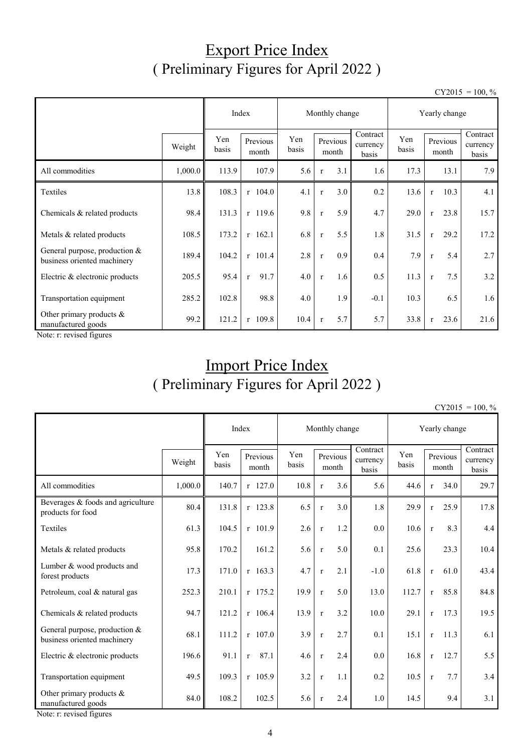## Export Price Index ( Preliminary Figures for April 2022 )

 $CY2015 = 100, \%$ 

|                                                                |         |              | Index                |                                   | Monthly change |     |                               |              | Yearly change |                   |                               |  |
|----------------------------------------------------------------|---------|--------------|----------------------|-----------------------------------|----------------|-----|-------------------------------|--------------|---------------|-------------------|-------------------------------|--|
|                                                                | Weight  | Yen<br>basis | Previous<br>month    | Yen<br>Previous<br>basis<br>month |                |     | Contract<br>currency<br>basis | Yen<br>basis |               | Previous<br>month | Contract<br>currency<br>basis |  |
| All commodities                                                | 1,000.0 | 113.9        | 107.9                | 5.6                               | $\mathbf{r}$   | 3.1 | 1.6                           | 17.3         |               | 13.1              | 7.9                           |  |
| Textiles                                                       | 13.8    | 108.3        | $r$ 104.0            | 4.1                               | $\mathbf{r}$   | 3.0 | 0.2                           | 13.6         | $\mathbf{r}$  | 10.3              | 4.1                           |  |
| Chemicals & related products                                   | 98.4    | 131.3        | $r$ 119.6            | 9.8                               | $\mathbf r$    | 5.9 | 4.7                           | 29.0         | $\mathbf{r}$  | 23.8              | 15.7                          |  |
| Metals & related products                                      | 108.5   | 173.2        | $r$ 162.1            | 6.8                               | $\mathbf{r}$   | 5.5 | 1.8                           | 31.5         | $\mathbf{r}$  | 29.2              | 17.2                          |  |
| General purpose, production $&$<br>business oriented machinery | 189.4   | 104.2        | $r$ 101.4            | 2.8                               | $\mathbf{r}$   | 0.9 | 0.4                           | 7.9          | $\mathbf{r}$  | 5.4               | 2.7                           |  |
| Electric & electronic products                                 | 205.5   | 95.4         | 91.7<br>$\mathbf{r}$ | 4.0                               | $\mathbf{r}$   | 1.6 | 0.5                           | 11.3         | $\mathbf{r}$  | 7.5               | 3.2                           |  |
| Transportation equipment                                       | 285.2   | 102.8        | 98.8                 | 4.0                               |                | 1.9 | $-0.1$                        | 10.3         |               | 6.5               | 1.6                           |  |
| Other primary products &<br>manufactured goods                 | 99.2    | 121.2        | r 109.8              | 10.4                              | $\mathbf{r}$   | 5.7 | 5.7                           | 33.8         | $\mathbf{r}$  | 23.6              | 21.6                          |  |

Note: r: revised figures

# Import Price Index ( Preliminary Figures for April 2022 )

 $CY2015 = 100, \%$ 

|                                                              |                                             | Index |                      | Monthly change    |              |                               |              | Yearly change |                   |                               |      |
|--------------------------------------------------------------|---------------------------------------------|-------|----------------------|-------------------|--------------|-------------------------------|--------------|---------------|-------------------|-------------------------------|------|
|                                                              | Yen<br>Previous<br>Weight<br>basis<br>month |       | Yen<br>basis         | Previous<br>month |              | Contract<br>currency<br>basis | Yen<br>basis |               | Previous<br>month | Contract<br>currency<br>basis |      |
| All commodities                                              | 1.000.0                                     | 140.7 | $r$ 127.0            | 10.8              | $\mathbf{r}$ | 3.6                           | 5.6          | 44.6          | $\mathbf{r}$      | 34.0                          | 29.7 |
| Beverages & foods and agriculture<br>products for food       | 80.4                                        | 131.8 | r 123.8              | 6.5               | $\mathbf{r}$ | 3.0                           | 1.8          | 29.9          | $\mathbf{r}$      | 25.9                          | 17.8 |
| Textiles                                                     | 61.3                                        | 104.5 | $r$ 101.9            | 2.6               | $\mathbf r$  | 1.2                           | 0.0          | 10.6          | $\mathbf{r}$      | 8.3                           | 4.4  |
| Metals & related products                                    | 95.8                                        | 170.2 | 161.2                | 5.6               | $\mathbf{r}$ | 5.0                           | 0.1          | 25.6          |                   | 23.3                          | 10.4 |
| Lumber & wood products and<br>forest products                | 17.3                                        | 171.0 | $r$ 163.3            | 4.7               | $\mathbf r$  | 2.1                           | $-1.0$       | 61.8          | $\mathbf{r}$      | 61.0                          | 43.4 |
| Petroleum, coal & natural gas                                | 252.3                                       | 210.1 | $r$ 175.2            | 19.9              | $\mathbf r$  | 5.0                           | 13.0         | 112.7         | $\mathbf{r}$      | 85.8                          | 84.8 |
| Chemicals & related products                                 | 94.7                                        | 121.2 | $r$ 106.4            | 13.9              | $\mathbf{r}$ | 3.2                           | 10.0         | 29.1          | $\mathbf{r}$      | 17.3                          | 19.5 |
| General purpose, production &<br>business oriented machinery | 68.1                                        | 111.2 | $r$ 107.0            | 3.9               | $\mathbf{r}$ | 2.7                           | 0.1          | 15.1          | $\mathbf{r}$      | 11.3                          | 6.1  |
| Electric & electronic products                               | 196.6                                       | 91.1  | 87.1<br>$\mathbf{r}$ | 4.6               | $\mathbf{r}$ | 2.4                           | 0.0          | 16.8          | $\mathbf{r}$      | 12.7                          | 5.5  |
| Transportation equipment                                     | 49.5                                        | 109.3 | $r$ 105.9            | 3.2               | $\mathbf{r}$ | 1.1                           | 0.2          | 10.5          | $\mathbf{r}$      | 7.7                           | 3.4  |
| Other primary products &<br>manufactured goods               | 84.0                                        | 108.2 | 102.5                | 5.6               | $\mathbf{r}$ | 2.4                           | 1.0          | 14.5          |                   | 9.4                           | 3.1  |

Note: r: revised figures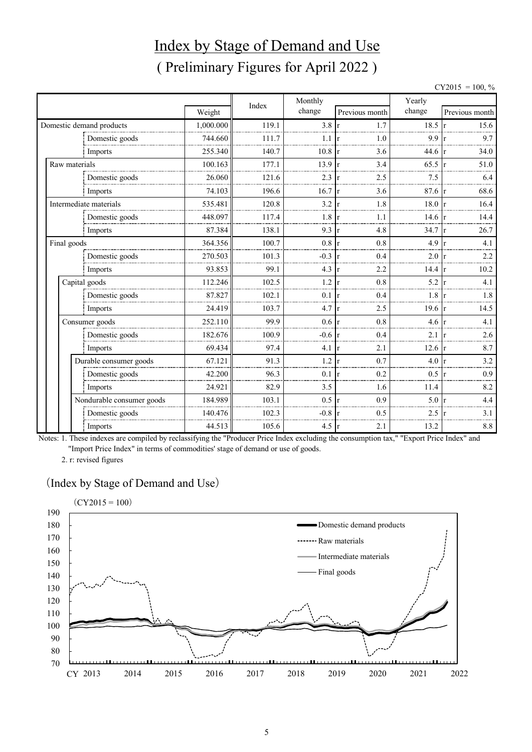# Index by Stage of Demand and Use ( Preliminary Figures for April 2022 )

 $CY2015 = 100, \%$ 

|               |                           |           | Index | Monthly       |                     | Yearly           |                      |  |  |
|---------------|---------------------------|-----------|-------|---------------|---------------------|------------------|----------------------|--|--|
|               |                           | Weight    |       | change        | Previous month      | change           | Previous month       |  |  |
|               | Domestic demand products  | 1,000.000 | 119.1 | 3.8           | 1.7<br>r            | 18.5             | 15.6                 |  |  |
|               | Domestic goods            | 744.660   | 111.7 | 1.1           | 1.0<br>r            | 9.9              | 9.7                  |  |  |
|               | Imports                   | 255.340   | 140.7 | 10.8          | 3.6<br>r            | 44.6             | 34.0                 |  |  |
| Raw materials |                           | 100.163   | 177.1 | 13.9          | 3.4<br>$\mathbf{r}$ | 65.5             | 51.0                 |  |  |
|               | Domestic goods            | 26.060    | 121.6 | 2.3           | 2.5<br>r            | 7.5              | 6.4                  |  |  |
|               | Imports                   | 74.103    | 196.6 | 16.7          | 3.6<br>r            | $87.6 \text{ r}$ | 68.6                 |  |  |
|               | Intermediate materials    | 535.481   | 120.8 | 3.2           | 1.8<br>$\mathbf{r}$ | 18.0             | 16.4                 |  |  |
|               | Domestic goods            | 448.097   | 117.4 | 1.8           | 1.1<br>r            | 14.6             | 14.4                 |  |  |
|               | Imports                   | 87.384    | 138.1 | 9.3           | 4.8<br>r            | 34.7             | 26.7<br>1r           |  |  |
| Final goods   |                           | 364.356   | 100.7 | 0.8           | 0.8<br>r            | 4.9              | 4.1                  |  |  |
|               | Domestic goods            | 270.503   | 101.3 | $-0.3$        | 0.4<br>r            | 2.0              | 2.2<br>1r            |  |  |
|               | Imports                   | 93.853    | 99.1  | 4.3           | 2.2<br>r            | 14.4             | 10.2<br>-l r         |  |  |
|               | Capital goods             | 112.246   | 102.5 | 1.2           | 0.8<br>r            | 5.2              | 4.1                  |  |  |
|               | Domestic goods            | 87.827    | 102.1 | 0.1           | 0.4<br>r            | 1.8              | 1.8                  |  |  |
|               | Imports                   | 24.419    | 103.7 | 4.7           | 2.5<br>$\mathbf{r}$ | 19.6             | 14.5<br>$\mathbf{r}$ |  |  |
|               | Consumer goods            | 252.110   | 99.9  | 0.6           | 0.8<br>r            | 4.6              | 4.1                  |  |  |
|               | Domestic goods            | 182.676   | 100.9 | $-0.6$        | 0.4<br>r            | 2.1              | 2.6                  |  |  |
|               | Imports                   | 69.434    | 97.4  | 4.1           | 2.1<br>r            | 12.6             | 8.7<br>$\mathsf{r}$  |  |  |
|               | Durable consumer goods    | 67.121    | 91.3  | 1.2           | 0.7<br>r            | 4.0              | 3.2                  |  |  |
|               | Domestic goods            | 42.200    | 96.3  | 0.1           | 0.2<br>r            | 0.5              | 0.9<br>1r            |  |  |
|               | Imports                   | 24.921    | 82.9  | 3.5           | 1.6                 | 11.4             | 8.2                  |  |  |
|               | Nondurable consumer goods | 184.989   | 103.1 | $0.5 \vert r$ | 0.9                 | 5.0              | 4.4                  |  |  |
|               | Domestic goods            | 140.476   | 102.3 | $-0.8$        | 0.5                 | 2.5              | 3.1                  |  |  |
|               | Imports                   | 44.513    | 105.6 | 4.5           | 2.1<br><sup>r</sup> | 13.2             | $8.8\,$              |  |  |

Notes: 1. These indexes are compiled by reclassifying the "Producer Price Index excluding the consumption tax," "Export Price Index" and "Import Price Index" in terms of commodities' stage of demand or use of goods.

2. r: revised figures

#### (Index by Stage of Demand and Use)

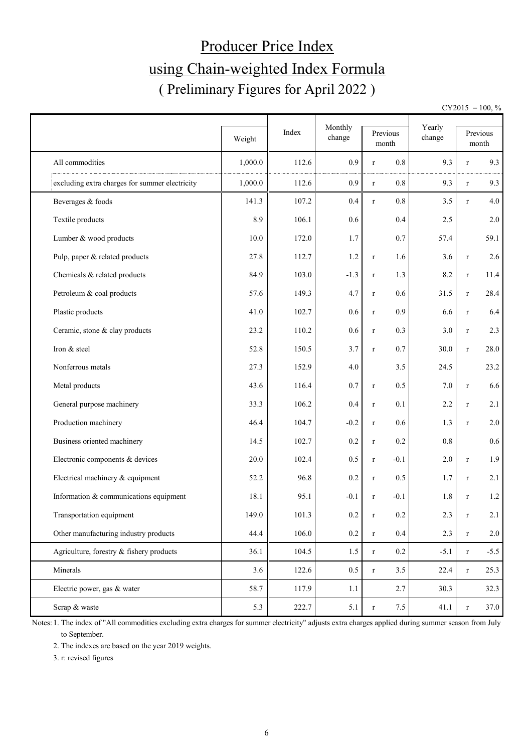# Producer Price Index using Chain-weighted Index Formula ( Preliminary Figures for April 2022 )

 $CY2015 = 100, \%$ 

|                                                |         |       | Monthly |                        | Yearly |              |                   |
|------------------------------------------------|---------|-------|---------|------------------------|--------|--------------|-------------------|
|                                                | Weight  | Index | change  | Previous<br>month      | change |              | Previous<br>month |
| All commodities                                | 1,000.0 | 112.6 | 0.9     | 0.8<br>$\bf r$         | 9.3    | r            | 9.3               |
| excluding extra charges for summer electricity | 1,000.0 | 112.6 | 0.9     | $0.8\,$<br>$\mathbf r$ | 9.3    | $\bf r$      | 9.3               |
| Beverages & foods                              | 141.3   | 107.2 | 0.4     | 0.8<br>$\mathbf r$     | 3.5    | $\bf r$      | 4.0               |
| Textile products                               | 8.9     | 106.1 | 0.6     | 0.4                    | 2.5    |              | 2.0               |
| Lumber & wood products                         | 10.0    | 172.0 | 1.7     | 0.7                    | 57.4   |              | 59.1              |
| Pulp, paper & related products                 | 27.8    | 112.7 | 1.2     | 1.6<br>$\bf r$         | 3.6    | $\bf r$      | 2.6               |
| Chemicals & related products                   | 84.9    | 103.0 | $-1.3$  | 1.3<br>$\mathbf r$     | 8.2    | $\bf r$      | 11.4              |
| Petroleum & coal products                      | 57.6    | 149.3 | 4.7     | 0.6<br>$\bf r$         | 31.5   | $\bf r$      | 28.4              |
| Plastic products                               | 41.0    | 102.7 | 0.6     | 0.9<br>$\mathbf r$     | 6.6    | $\bf r$      | 6.4               |
| Ceramic, stone & clay products                 | 23.2    | 110.2 | 0.6     | 0.3<br>$\mathbf r$     | 3.0    | $\bf r$      | 2.3               |
| Iron & steel                                   | 52.8    | 150.5 | 3.7     | 0.7<br>$\bf r$         | 30.0   | $\bf r$      | 28.0              |
| Nonferrous metals                              | 27.3    | 152.9 | 4.0     | 3.5                    | 24.5   |              | 23.2              |
| Metal products                                 | 43.6    | 116.4 | 0.7     | 0.5<br>$\bf r$         | 7.0    | $\bf r$      | 6.6               |
| General purpose machinery                      | 33.3    | 106.2 | 0.4     | 0.1<br>$\mathbf r$     | 2.2    | $\bf r$      | 2.1               |
| Production machinery                           | 46.4    | 104.7 | $-0.2$  | $0.6\,$<br>$\mathbf r$ | 1.3    | $\bf r$      | 2.0               |
| Business oriented machinery                    | 14.5    | 102.7 | 0.2     | 0.2<br>$\mathbf r$     | 0.8    |              | $0.6\,$           |
| Electronic components & devices                | 20.0    | 102.4 | 0.5     | $-0.1$<br>$\mathbf r$  | 2.0    | $\bf r$      | 1.9               |
| Electrical machinery & equipment               | 52.2    | 96.8  | 0.2     | 0.5<br>$\mathbf r$     | 1.7    | $\bf r$      | 2.1               |
| Information & communications equipment         | 18.1    | 95.1  | $-0.1$  | $-0.1$<br>$\mathbf r$  | 1.8    | $\mathbf{r}$ | 1.2               |
| Transportation equipment                       | 149.0   | 101.3 | $0.2\,$ | 0.2<br>$\mathbf r$     | 2.3    | $\bf r$      | 2.1               |
| Other manufacturing industry products          | 44.4    | 106.0 | $0.2\,$ | $0.4\,$<br>$\mathbf r$ | 2.3    | $\bf r$      | 2.0               |
| Agriculture, forestry & fishery products       | 36.1    | 104.5 | 1.5     | $0.2\,$<br>$\mathbf r$ | $-5.1$ | $\bf r$      | $-5.5$            |
| Minerals                                       | 3.6     | 122.6 | 0.5     | 3.5<br>$\bf r$         | 22.4   | $\bf r$      | 25.3              |
| Electric power, gas & water                    | 58.7    | 117.9 | 1.1     | 2.7                    | 30.3   |              | 32.3              |
| Scrap & waste                                  | 5.3     | 222.7 | 5.1     | 7.5<br>$\bf r$         | 41.1   | $\bf r$      | 37.0              |

Notes: 1. The index of "All commodities excluding extra charges for summer electricity" adjusts extra charges applied during summer season from July to September.

2. The indexes are based on the year 2019 weights.

3. r: revised figures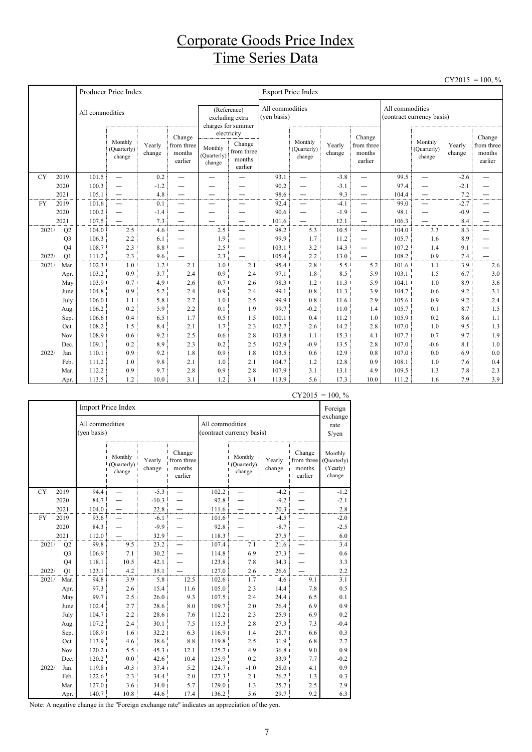## Corporate Goods Price Index Time Series Data

|           |                      |                 |                                  |                  |                                           |                                           |                                                          |                                |                                  |                  |                                           |                                              |                                  |                  | $CY2015 = 100, \%$                        |
|-----------|----------------------|-----------------|----------------------------------|------------------|-------------------------------------------|-------------------------------------------|----------------------------------------------------------|--------------------------------|----------------------------------|------------------|-------------------------------------------|----------------------------------------------|----------------------------------|------------------|-------------------------------------------|
|           |                      |                 | Producer Price Index             |                  |                                           |                                           |                                                          |                                | <b>Export Price Index</b>        |                  |                                           |                                              |                                  |                  |                                           |
|           |                      | All commodities |                                  |                  |                                           |                                           | (Reference)<br>excluding extra<br>charges for summer     | All commodities<br>(yen basis) |                                  |                  |                                           | All commodities<br>(contract currency basis) |                                  |                  |                                           |
|           |                      |                 | Monthly<br>(Quarterly)<br>change | Yearly<br>change | Change<br>from three<br>months<br>earlier | Monthly<br>(Quarterly)<br>$_{\rm change}$ | electricity<br>Change<br>from three<br>months<br>earlier |                                | Monthly<br>(Quarterly)<br>change | Yearly<br>change | Change<br>from three<br>months<br>earlier |                                              | Monthly<br>(Quarterly)<br>change | Yearly<br>change | Change<br>from three<br>months<br>earlier |
| <b>CY</b> | 2019                 | 101.5           | $\overline{\phantom{0}}$         | 0.2              | $\overline{\phantom{0}}$                  | $\overline{\phantom{0}}$                  |                                                          | 93.1                           | $\overline{\phantom{0}}$         | $-3.8$           | —                                         | 99.5                                         | $\overline{\phantom{0}}$         | $-2.6$           |                                           |
|           | 2020                 | 100.3           | $\overline{\phantom{0}}$         | $-1.2$           |                                           |                                           |                                                          | 90.2                           | $\overline{\phantom{0}}$         | $-3.1$           | —                                         | 97.4                                         | $\overline{\phantom{0}}$         | $-2.1$           |                                           |
|           | 2021                 | 105.1           | $\overline{\phantom{0}}$         | 4.8              |                                           |                                           |                                                          | 98.6                           | $\overline{\phantom{0}}$         | 9.3              | —                                         | 104.4                                        | —                                | 7.2              |                                           |
| <b>FY</b> | 2019                 | 101.6           | $\overline{\phantom{0}}$         | 0.1              | —                                         | —                                         |                                                          | 92.4                           | -                                | $-4.1$           | —                                         | 99.0                                         | $\overline{\phantom{0}}$         | $-2.7$           | —                                         |
|           | 2020                 | 100.2           | $\overline{\phantom{0}}$         | $-1.4$           | —                                         | -                                         |                                                          | 90.6                           | -                                | $-1.9$           | -                                         | 98.1                                         | —                                | $-0.9$           | —                                         |
|           | 2021                 | 107.5           |                                  | 7.3              |                                           |                                           | $\overline{\phantom{0}}$                                 | 101.6                          | $\overline{\phantom{0}}$         | 12.1             | $\overline{\phantom{0}}$                  | 106.3                                        | —                                | 8.4              | —                                         |
| 2021/     | Q2<br>Q <sub>3</sub> | 104.0<br>106.3  | 2.5<br>2.2                       | 4.6<br>6.1       | $\overline{\phantom{0}}$                  | 2.5<br>1.9                                | $\overline{\phantom{0}}$                                 | 98.2<br>99.9                   | 5.3<br>1.7                       | 10.5<br>11.2     | $\overline{\phantom{0}}$<br>—             | 104.0<br>105.7                               | 3.3<br>1.6                       | 8.3<br>8.9       | $\overline{\phantom{0}}$<br>—             |
|           | Q <sub>4</sub>       | 108.7           | 2.3                              | 8.8              |                                           | 2.5                                       |                                                          | 103.1                          | 3.2                              | 14.3             | —                                         | 107.2                                        | 1.4                              | 9.1              |                                           |
| 2022/     | Q1                   | 111.2           | 2.3                              | 9.6              | —                                         | 2.3                                       |                                                          | 105.4                          | 2.2                              | 13.0             |                                           | 108.2                                        | 0.9                              | 7.4              |                                           |
| 2021/     | Mar.                 | 102.3           | 1.0                              | 1.2              | 2.1                                       | 1.0                                       | 2.1                                                      | 95.4                           | 2.8                              | 5.5              | 5.2                                       | 101.6                                        | 1.1                              | 3.9              | 2.6                                       |
|           | Apr.                 | 103.2           | 0.9                              | 3.7              | 2.4                                       | 0.9                                       | 2.4                                                      | 97.1                           | 1.8                              | 8.5              | 5.9                                       | 103.1                                        | 1.5                              | 6.7              | 3.0                                       |
|           | May                  | 103.9           | 0.7                              | 4.9              | 2.6                                       | 0.7                                       | 2.6                                                      | 98.3                           | 1.2                              | 11.3             | 5.9                                       | 104.1                                        | 1.0                              | 8.9              | 3.6                                       |
|           | June                 | 104.8           | 0.9                              | 5.2              | 2.4                                       | 0.9                                       | 2.4                                                      | 99.1                           | 0.8                              | 11.3             | 3.9                                       | 104.7                                        | 0.6                              | 9.2              | 3.1                                       |
|           | July                 | 106.0           | 1.1                              | 5.8              | 2.7                                       | 1.0                                       | 2.5                                                      | 99.9                           | 0.8                              | 11.6             | 2.9                                       | 105.6                                        | 0.9                              | 9.2              | 2.4                                       |
|           | Aug.                 | 106.2           | 0.2                              | 5.9              | 2.2                                       | 0.1                                       | 1.9                                                      | 99.7                           | $-0.2$                           | 11.0             | 1.4                                       | 105.7                                        | 0.1                              | 8.7              | 1.5                                       |
|           | Sep.                 | 106.6           | 0.4                              | 6.5              | 1.7                                       | 0.5                                       | 1.5                                                      | 100.1                          | 0.4                              | 11.2             | 1.0                                       | 105.9                                        | 0.2                              | 8.6              | 1.1                                       |
|           | Oct.                 | 108.2           | 1.5                              | 8.4              | 2.1                                       | 1.7                                       | 2.3                                                      | 102.7                          | 2.6                              | 14.2             | 2.8                                       | 107.0                                        | 1.0                              | 9.5              | 1.3                                       |
|           | Nov.                 | 108.9           | 0.6                              | 9.2              | 2.5                                       | 0.6                                       | 2.8                                                      | 103.8                          | 1.1                              | 15.3             | 4.1                                       | 107.7                                        | 0.7                              | 9.7              | 1.9                                       |
|           | Dec.                 | 109.1           | 0.2                              | 8.9              | 2.3                                       | 0.2                                       | 2.5                                                      | 102.9                          | $-0.9$                           | 13.5             | 2.8                                       | 107.0                                        | $-0.6$                           | 8.1              | 1.0                                       |
| 2022/     | Jan.                 | 110.1           | 0.9                              | 9.2              | 1.8                                       | 0.9                                       | 1.8                                                      | 103.5                          | 0.6                              | 12.9             | 0.8                                       | 107.0                                        | 0.0                              | 6.9              | 0.0                                       |
|           | Feb.                 | 111.2           | 1.0                              | 9.8              | 2.1                                       | 1.0                                       | 2.1                                                      | 104.7                          | 1.2                              | 12.8             | 0.9                                       | 108.1                                        | 1.0                              | 7.6              | 0.4                                       |
|           | Mar.                 | 112.2           | 0.9                              | 9.7              | 2.8                                       | 0.9                                       | 2.8                                                      | 107.9                          | 3.1                              | 13.1             | 4.9                                       | 109.5                                        | 1.3                              | 7.8              | 2.3                                       |
|           | Apr.                 | 113.5           | 1.2                              | 10.0             | 3.1                                       | 1.2                                       | 3.1                                                      | 113.9                          | 5.6                              | 17.3             | 10.0                                      | 111.2                                        | 1.6                              | 7.9              | 3.9                                       |

|           |                |                                | <b>Import Price Index</b>        |                  |                                           |                 |                                  |                  |                                           | Foreign                                      |
|-----------|----------------|--------------------------------|----------------------------------|------------------|-------------------------------------------|-----------------|----------------------------------|------------------|-------------------------------------------|----------------------------------------------|
|           |                | All commodities<br>(yen basis) |                                  |                  |                                           | All commodities | (contract currency basis)        |                  |                                           | exchange<br>rate<br>$\sqrt{\frac{2}{\pi}}$   |
|           |                |                                | Monthly<br>(Quarterly)<br>change | Yearly<br>change | Change<br>from three<br>months<br>earlier |                 | Monthly<br>(Quarterly)<br>change | Yearly<br>change | Change<br>from three<br>months<br>earlier | Monthly<br>(Quarterly)<br>(Yearly)<br>change |
| <b>CY</b> | 2019           | 94.4                           |                                  | $-5.3$           |                                           | 102.2           |                                  | $-4.2$           |                                           | $-1.2$                                       |
|           | 2020           | 84.7                           |                                  | $-10.3$          |                                           | 92.8            |                                  | $-9.2$           |                                           | $-2.1$                                       |
|           | 2021           | 104.0                          |                                  | 22.8             |                                           | 111.6           |                                  | 20.3             |                                           | 2.8                                          |
| <b>FY</b> | 2019           | 93.6                           |                                  | $-6.1$           |                                           | 101.6           |                                  | $-4.5$           |                                           | $-2.0$                                       |
|           | 2020           | 84.3                           |                                  | $-9.9$           |                                           | 92.8            |                                  | $-8.7$           |                                           | $-2.5$                                       |
|           | 2021           | 112.0                          |                                  | 32.9             |                                           | 118.3           |                                  | 27.5             |                                           | 6.0                                          |
| 2021/     | Q2             | 99.8                           | 9.5                              | 23.2             |                                           | 107.4           | 7.1                              | 21.6             |                                           | 3.4                                          |
|           | Q <sub>3</sub> | 106.9                          | 7.1                              | 30.2             |                                           | 114.8           | 6.9                              | 27.3             |                                           | 0.6                                          |
|           | Q <sub>4</sub> | 118.1                          | 10.5                             | 42.1             |                                           | 123.8           | 7.8                              | 34.3             |                                           | 3.3                                          |
| 2022/     | Q1             | 123.1                          | 4.2                              | 35.1             |                                           | 127.0           | 2.6                              | 26.6             |                                           | $2.2\,$                                      |
| 2021/     | Mar.           | 94.8                           | 3.9                              | 5.8              | 12.5                                      | 102.6           | 1.7                              | 4.6              | 9.1                                       | 3.1                                          |
|           | Apr.           | 97.3                           | 2.6                              | 15.4             | 11.6                                      | 105.0           | 2.3                              | 14.4             | 7.8                                       | 0.5                                          |
|           | May            | 99.7                           | 2.5                              | 26.0             | 9.3                                       | 107.5           | 2.4                              | 24.4             | 6.5                                       | 0.1                                          |
|           | June           | 102.4                          | 2.7                              | 28.6             | 8.0                                       | 109.7           | 2.0                              | 26.4             | 6.9                                       | 0.9                                          |
|           | July           | 104.7                          | 2.2                              | 28.6             | 7.6                                       | 112.2           | 2.3                              | 25.9             | 6.9                                       | 0.2                                          |
|           | Aug.           | 107.2                          | 2.4                              | 30.1             | 7.5                                       | 115.3           | 2.8                              | 27.3             | 7.3                                       | $-0.4$                                       |
|           | Sep.           | 108.9                          | 1.6                              | 32.2             | 6.3                                       | 116.9           | 1.4                              | 28.7             | 6.6                                       | 0.3                                          |
|           | Oct.           | 113.9                          | 4.6                              | 38.6             | 8.8                                       | 119.8           | 2.5                              | 31.9             | 6.8                                       | 2.7                                          |
|           | Nov.           | 120.2                          | 5.5                              | 45.3             | 12.1                                      | 125.7           | 4.9                              | 36.8             | 9.0                                       | 0.9                                          |
|           | Dec.           | 120.2                          | 0.0                              | 42.6             | 10.4                                      | 125.9           | 0.2                              | 33.9             | 7.7                                       | $-0.2$                                       |
| 2022/     | Jan.           | 119.8                          | $-0.3$                           | 37.4             | 5.2                                       | 124.7           | $-1.0$                           | 28.0             | 4.1                                       | 0.9                                          |
|           | Feb.           | 122.6                          | 2.3                              | 34.4             | 2.0                                       | 127.3           | 2.1                              | 26.2             | 1.3                                       | 0.3                                          |
|           | Mar.           | 127.0                          | 3.6                              | 34.0             | 5.7                                       | 129.0           | 1.3                              | 25.7             | 2.5                                       | 2.9                                          |
|           | Apr.           | 140.7                          | 10.8                             | 44.6             | 17.4                                      | 136.2           | 5.6                              | 29.7             | 9.2                                       | 6.3                                          |

 $CY2015 = 100, \%$ 

Note: A negative change in the "Foreign exchange rate" indicates an appreciation of the yen.